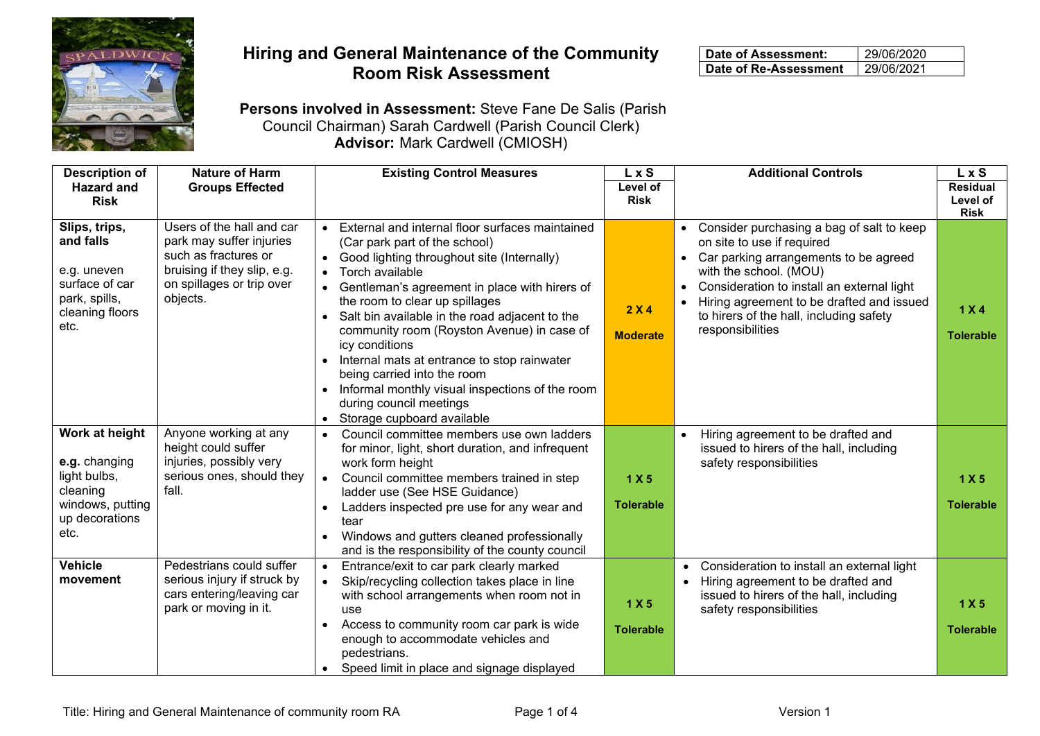

## **Hiring and General Maintenance of the Community Room Risk Assessment**

| Date of Assessment:   |  | 29/06/2020 |  |  |
|-----------------------|--|------------|--|--|
| Date of Re-Assessment |  | 29/06/2021 |  |  |

## **Persons involved in Assessment:** Steve Fane De Salis (Parish Council Chairman) Sarah Cardwell (Parish Council Clerk) **Advisor:** Mark Cardwell (CMIOSH)

| <b>Description of</b>                                                                                     | <b>Nature of Harm</b>                                                                                                                                 | <b>Existing Control Measures</b>                                                                                                                                                                                                                                                                                                                                                                                                                                                                                                                                                                                                            | L x S                     | <b>Additional Controls</b>                                                                                                                                                                                                                                                                                        | L x S                     |
|-----------------------------------------------------------------------------------------------------------|-------------------------------------------------------------------------------------------------------------------------------------------------------|---------------------------------------------------------------------------------------------------------------------------------------------------------------------------------------------------------------------------------------------------------------------------------------------------------------------------------------------------------------------------------------------------------------------------------------------------------------------------------------------------------------------------------------------------------------------------------------------------------------------------------------------|---------------------------|-------------------------------------------------------------------------------------------------------------------------------------------------------------------------------------------------------------------------------------------------------------------------------------------------------------------|---------------------------|
| <b>Hazard and</b>                                                                                         | <b>Groups Effected</b>                                                                                                                                |                                                                                                                                                                                                                                                                                                                                                                                                                                                                                                                                                                                                                                             | Level of                  |                                                                                                                                                                                                                                                                                                                   | <b>Residual</b>           |
| <b>Risk</b>                                                                                               |                                                                                                                                                       |                                                                                                                                                                                                                                                                                                                                                                                                                                                                                                                                                                                                                                             | <b>Risk</b>               |                                                                                                                                                                                                                                                                                                                   | Level of<br><b>Risk</b>   |
| Slips, trips,<br>and falls<br>e.g. uneven<br>surface of car<br>park, spills,<br>cleaning floors<br>etc.   | Users of the hall and car<br>park may suffer injuries<br>such as fractures or<br>bruising if they slip, e.g.<br>on spillages or trip over<br>objects. | External and internal floor surfaces maintained<br>$\bullet$<br>(Car park part of the school)<br>Good lighting throughout site (Internally)<br>$\bullet$<br>Torch available<br>$\bullet$<br>Gentleman's agreement in place with hirers of<br>the room to clear up spillages<br>Salt bin available in the road adjacent to the<br>$\bullet$<br>community room (Royston Avenue) in case of<br>icy conditions<br>Internal mats at entrance to stop rainwater<br>$\bullet$<br>being carried into the room<br>Informal monthly visual inspections of the room<br>$\bullet$<br>during council meetings<br>Storage cupboard available<br>$\bullet$ | 2 X 4<br><b>Moderate</b>  | Consider purchasing a bag of salt to keep<br>on site to use if required<br>Car parking arrangements to be agreed<br>with the school. (MOU)<br>Consideration to install an external light<br>Hiring agreement to be drafted and issued<br>$\bullet$<br>to hirers of the hall, including safety<br>responsibilities | 1 X 4<br><b>Tolerable</b> |
| Work at height<br>e.g. changing<br>light bulbs,<br>cleaning<br>windows, putting<br>up decorations<br>etc. | Anyone working at any<br>height could suffer<br>injuries, possibly very<br>serious ones, should they<br>fall.                                         | Council committee members use own ladders<br>for minor, light, short duration, and infrequent<br>work form height<br>Council committee members trained in step<br>ladder use (See HSE Guidance)<br>Ladders inspected pre use for any wear and<br>$\bullet$<br>tear<br>Windows and gutters cleaned professionally<br>$\bullet$                                                                                                                                                                                                                                                                                                               | 1 X 5<br><b>Tolerable</b> | Hiring agreement to be drafted and<br>$\bullet$<br>issued to hirers of the hall, including<br>safety responsibilities                                                                                                                                                                                             | 1 X 5<br><b>Tolerable</b> |
|                                                                                                           |                                                                                                                                                       | and is the responsibility of the county council                                                                                                                                                                                                                                                                                                                                                                                                                                                                                                                                                                                             |                           |                                                                                                                                                                                                                                                                                                                   |                           |
| <b>Vehicle</b><br>movement                                                                                | Pedestrians could suffer<br>serious injury if struck by<br>cars entering/leaving car<br>park or moving in it.                                         | Entrance/exit to car park clearly marked<br>$\bullet$<br>Skip/recycling collection takes place in line<br>with school arrangements when room not in<br>use<br>Access to community room car park is wide<br>enough to accommodate vehicles and<br>pedestrians.<br>Speed limit in place and signage displayed<br>$\bullet$                                                                                                                                                                                                                                                                                                                    | 1 X 5<br><b>Tolerable</b> | Consideration to install an external light<br>Hiring agreement to be drafted and<br>issued to hirers of the hall, including<br>safety responsibilities                                                                                                                                                            | 1 X 5<br><b>Tolerable</b> |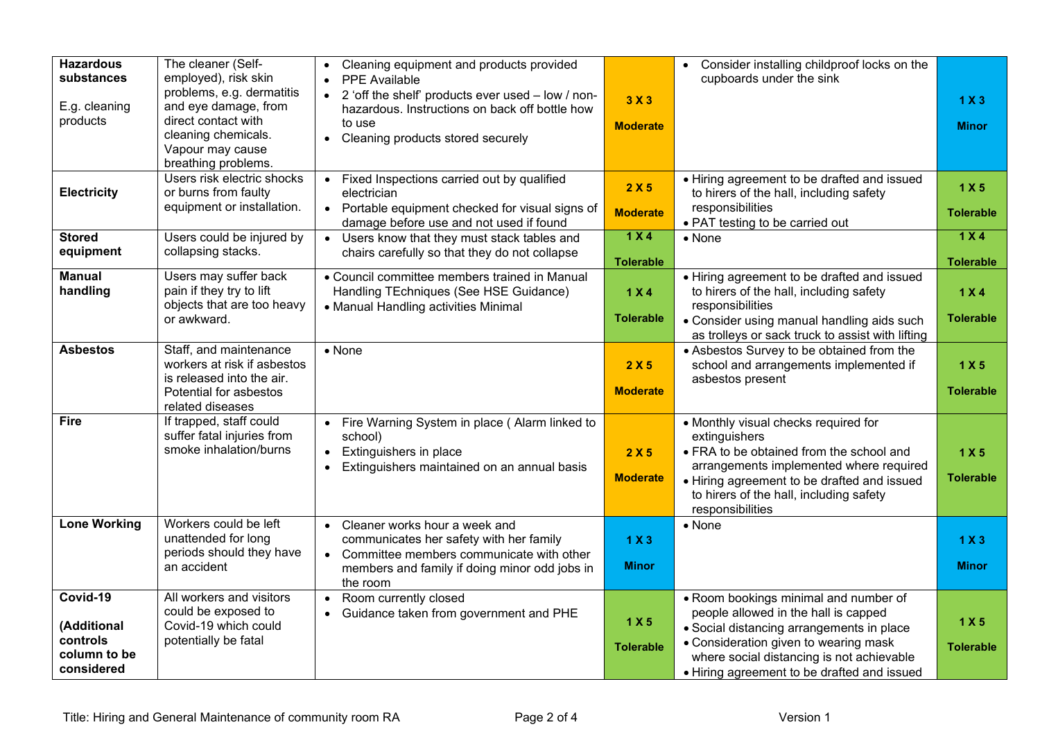| <b>Hazardous</b><br>substances<br>E.g. cleaning<br>products       | The cleaner (Self-<br>employed), risk skin<br>problems, e.g. dermatitis<br>and eye damage, from<br>direct contact with<br>cleaning chemicals.<br>Vapour may cause<br>breathing problems. | Cleaning equipment and products provided<br>$\bullet$<br><b>PPE Available</b><br>$\bullet$<br>2 'off the shelf' products ever used - low / non-<br>hazardous. Instructions on back off bottle how<br>to use<br>Cleaning products stored securely<br>$\bullet$ | 3 X 3<br><b>Moderate</b>  | Consider installing childproof locks on the<br>$\bullet$<br>cupboards under the sink                                                                                                                                                                            | 1 X3<br><b>Minor</b>      |
|-------------------------------------------------------------------|------------------------------------------------------------------------------------------------------------------------------------------------------------------------------------------|---------------------------------------------------------------------------------------------------------------------------------------------------------------------------------------------------------------------------------------------------------------|---------------------------|-----------------------------------------------------------------------------------------------------------------------------------------------------------------------------------------------------------------------------------------------------------------|---------------------------|
| <b>Electricity</b>                                                | Users risk electric shocks<br>or burns from faulty<br>equipment or installation.                                                                                                         | Fixed Inspections carried out by qualified<br>electrician<br>Portable equipment checked for visual signs of<br>damage before use and not used if found                                                                                                        | 2X5<br><b>Moderate</b>    | • Hiring agreement to be drafted and issued<br>to hirers of the hall, including safety<br>responsibilities<br>• PAT testing to be carried out                                                                                                                   | 1 X 5<br><b>Tolerable</b> |
| <b>Stored</b><br>equipment                                        | Users could be injured by<br>collapsing stacks.                                                                                                                                          | Users know that they must stack tables and<br>chairs carefully so that they do not collapse                                                                                                                                                                   | 1 X 4<br><b>Tolerable</b> | $\bullet$ None                                                                                                                                                                                                                                                  | 1 X 4<br><b>Tolerable</b> |
| <b>Manual</b><br>handling                                         | Users may suffer back<br>pain if they try to lift<br>objects that are too heavy<br>or awkward.                                                                                           | • Council committee members trained in Manual<br>Handling TEchniques (See HSE Guidance)<br>• Manual Handling activities Minimal                                                                                                                               | 1 X 4<br><b>Tolerable</b> | • Hiring agreement to be drafted and issued<br>to hirers of the hall, including safety<br>responsibilities<br>• Consider using manual handling aids such<br>as trolleys or sack truck to assist with lifting                                                    | 1 X 4<br><b>Tolerable</b> |
| <b>Asbestos</b>                                                   | Staff, and maintenance<br>workers at risk if asbestos<br>is released into the air.<br>Potential for asbestos<br>related diseases                                                         | $\bullet$ None                                                                                                                                                                                                                                                | 2 X 5<br><b>Moderate</b>  | • Asbestos Survey to be obtained from the<br>school and arrangements implemented if<br>asbestos present                                                                                                                                                         | 1 X 5<br><b>Tolerable</b> |
| <b>Fire</b>                                                       | If trapped, staff could<br>suffer fatal injuries from<br>smoke inhalation/burns                                                                                                          | Fire Warning System in place (Alarm linked to<br>school)<br>Extinguishers in place<br>$\bullet$<br>Extinguishers maintained on an annual basis<br>$\bullet$                                                                                                   | 2 X 5<br><b>Moderate</b>  | • Monthly visual checks required for<br>extinguishers<br>• FRA to be obtained from the school and<br>arrangements implemented where required<br>• Hiring agreement to be drafted and issued<br>to hirers of the hall, including safety<br>responsibilities      | 1 X 5<br><b>Tolerable</b> |
| <b>Lone Working</b>                                               | Workers could be left<br>unattended for long<br>periods should they have<br>an accident                                                                                                  | Cleaner works hour a week and<br>$\bullet$<br>communicates her safety with her family<br>Committee members communicate with other<br>$\bullet$<br>members and family if doing minor odd jobs in<br>the room                                                   | 1 X3<br><b>Minor</b>      | • None                                                                                                                                                                                                                                                          | 1 X3<br><b>Minor</b>      |
| Covid-19<br>(Additional<br>controls<br>column to be<br>considered | All workers and visitors<br>could be exposed to<br>Covid-19 which could<br>potentially be fatal                                                                                          | Room currently closed<br>$\bullet$<br>Guidance taken from government and PHE<br>$\bullet$                                                                                                                                                                     | 1 X 5<br><b>Tolerable</b> | • Room bookings minimal and number of<br>people allowed in the hall is capped<br>• Social distancing arrangements in place<br>• Consideration given to wearing mask<br>where social distancing is not achievable<br>• Hiring agreement to be drafted and issued | 1 X 5<br><b>Tolerable</b> |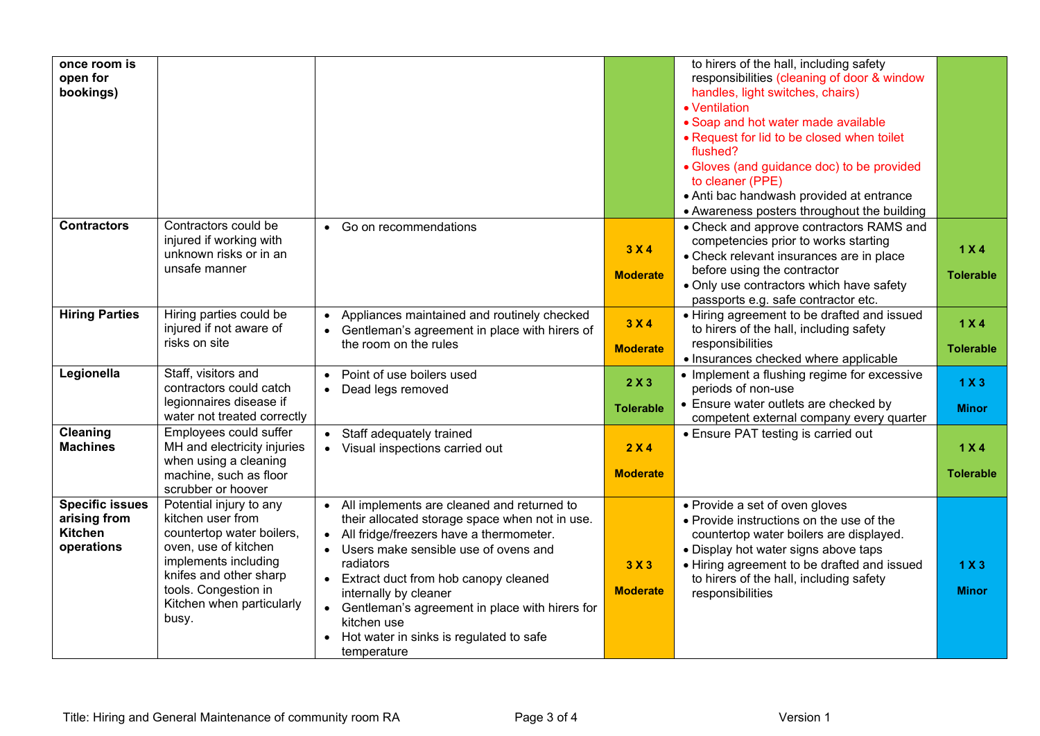| once room is<br>open for<br>bookings)                                  |                                                                                                                                                                                                                   |                                                                                                                                                                                                                                                                                                                                                                                                                                   |                          | to hirers of the hall, including safety<br>responsibilities (cleaning of door & window<br>handles, light switches, chairs)<br>• Ventilation<br>• Soap and hot water made available<br>• Request for lid to be closed when toilet<br>flushed?<br>• Gloves (and guidance doc) to be provided<br>to cleaner (PPE)<br>• Anti bac handwash provided at entrance<br>• Awareness posters throughout the building |                           |
|------------------------------------------------------------------------|-------------------------------------------------------------------------------------------------------------------------------------------------------------------------------------------------------------------|-----------------------------------------------------------------------------------------------------------------------------------------------------------------------------------------------------------------------------------------------------------------------------------------------------------------------------------------------------------------------------------------------------------------------------------|--------------------------|-----------------------------------------------------------------------------------------------------------------------------------------------------------------------------------------------------------------------------------------------------------------------------------------------------------------------------------------------------------------------------------------------------------|---------------------------|
| <b>Contractors</b>                                                     | Contractors could be<br>injured if working with<br>unknown risks or in an<br>unsafe manner                                                                                                                        | • Go on recommendations                                                                                                                                                                                                                                                                                                                                                                                                           | 3 X 4<br><b>Moderate</b> | • Check and approve contractors RAMS and<br>competencies prior to works starting<br>• Check relevant insurances are in place<br>before using the contractor<br>• Only use contractors which have safety<br>passports e.g. safe contractor etc.                                                                                                                                                            | 1 X 4<br><b>Tolerable</b> |
| <b>Hiring Parties</b>                                                  | Hiring parties could be<br>injured if not aware of<br>risks on site                                                                                                                                               | Appliances maintained and routinely checked<br>$\bullet$<br>Gentleman's agreement in place with hirers of<br>the room on the rules                                                                                                                                                                                                                                                                                                | 3 X 4<br><b>Moderate</b> | • Hiring agreement to be drafted and issued<br>to hirers of the hall, including safety<br>responsibilities<br>• Insurances checked where applicable                                                                                                                                                                                                                                                       | 1 X 4<br><b>Tolerable</b> |
| Legionella                                                             | Staff, visitors and<br>contractors could catch<br>legionnaires disease if<br>water not treated correctly                                                                                                          | Point of use boilers used<br>$\bullet$<br>Dead legs removed<br>$\bullet$                                                                                                                                                                                                                                                                                                                                                          | 2X3<br><b>Tolerable</b>  | • Implement a flushing regime for excessive<br>periods of non-use<br>• Ensure water outlets are checked by<br>competent external company every quarter                                                                                                                                                                                                                                                    | 1 X3<br><b>Minor</b>      |
| Cleaning<br><b>Machines</b>                                            | Employees could suffer<br>MH and electricity injuries<br>when using a cleaning<br>machine, such as floor<br>scrubber or hoover                                                                                    | Staff adequately trained<br>$\bullet$<br>• Visual inspections carried out                                                                                                                                                                                                                                                                                                                                                         | 2 X 4<br><b>Moderate</b> | • Ensure PAT testing is carried out                                                                                                                                                                                                                                                                                                                                                                       | 1 X 4<br><b>Tolerable</b> |
| <b>Specific issues</b><br>arising from<br><b>Kitchen</b><br>operations | Potential injury to any<br>kitchen user from<br>countertop water boilers,<br>oven, use of kitchen<br>implements including<br>knifes and other sharp<br>tools. Congestion in<br>Kitchen when particularly<br>busy. | All implements are cleaned and returned to<br>$\bullet$<br>their allocated storage space when not in use.<br>All fridge/freezers have a thermometer.<br>$\bullet$<br>Users make sensible use of ovens and<br>radiators<br>• Extract duct from hob canopy cleaned<br>internally by cleaner<br>Gentleman's agreement in place with hirers for<br>$\bullet$<br>kitchen use<br>Hot water in sinks is regulated to safe<br>temperature | 3X3<br><b>Moderate</b>   | • Provide a set of oven gloves<br>• Provide instructions on the use of the<br>countertop water boilers are displayed.<br>• Display hot water signs above taps<br>• Hiring agreement to be drafted and issued<br>to hirers of the hall, including safety<br>responsibilities                                                                                                                               | 1 X3<br><b>Minor</b>      |